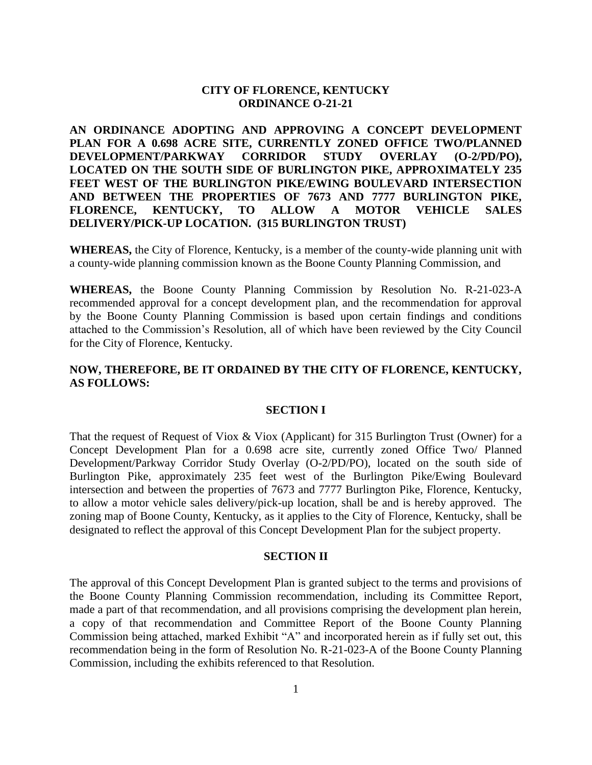# **CITY OF FLORENCE, KENTUCKY ORDINANCE O-21-21**

**AN ORDINANCE ADOPTING AND APPROVING A CONCEPT DEVELOPMENT PLAN FOR A 0.698 ACRE SITE, CURRENTLY ZONED OFFICE TWO/PLANNED DEVELOPMENT/PARKWAY CORRIDOR STUDY OVERLAY (O-2/PD/PO), LOCATED ON THE SOUTH SIDE OF BURLINGTON PIKE, APPROXIMATELY 235 FEET WEST OF THE BURLINGTON PIKE/EWING BOULEVARD INTERSECTION AND BETWEEN THE PROPERTIES OF 7673 AND 7777 BURLINGTON PIKE, FLORENCE, KENTUCKY, TO ALLOW A MOTOR VEHICLE SALES DELIVERY/PICK-UP LOCATION. (315 BURLINGTON TRUST)**

**WHEREAS,** the City of Florence, Kentucky, is a member of the county-wide planning unit with a county-wide planning commission known as the Boone County Planning Commission, and

**WHEREAS,** the Boone County Planning Commission by Resolution No. R-21-023-A recommended approval for a concept development plan, and the recommendation for approval by the Boone County Planning Commission is based upon certain findings and conditions attached to the Commission's Resolution, all of which have been reviewed by the City Council for the City of Florence, Kentucky.

## **NOW, THEREFORE, BE IT ORDAINED BY THE CITY OF FLORENCE, KENTUCKY, AS FOLLOWS:**

#### **SECTION I**

That the request of Request of Viox & Viox (Applicant) for 315 Burlington Trust (Owner) for a Concept Development Plan for a 0.698 acre site, currently zoned Office Two/ Planned Development/Parkway Corridor Study Overlay (O-2/PD/PO), located on the south side of Burlington Pike, approximately 235 feet west of the Burlington Pike/Ewing Boulevard intersection and between the properties of 7673 and 7777 Burlington Pike, Florence, Kentucky, to allow a motor vehicle sales delivery/pick-up location, shall be and is hereby approved. The zoning map of Boone County, Kentucky, as it applies to the City of Florence, Kentucky, shall be designated to reflect the approval of this Concept Development Plan for the subject property.

#### **SECTION II**

The approval of this Concept Development Plan is granted subject to the terms and provisions of the Boone County Planning Commission recommendation, including its Committee Report, made a part of that recommendation, and all provisions comprising the development plan herein, a copy of that recommendation and Committee Report of the Boone County Planning Commission being attached, marked Exhibit "A" and incorporated herein as if fully set out, this recommendation being in the form of Resolution No. R-21-023-A of the Boone County Planning Commission, including the exhibits referenced to that Resolution.